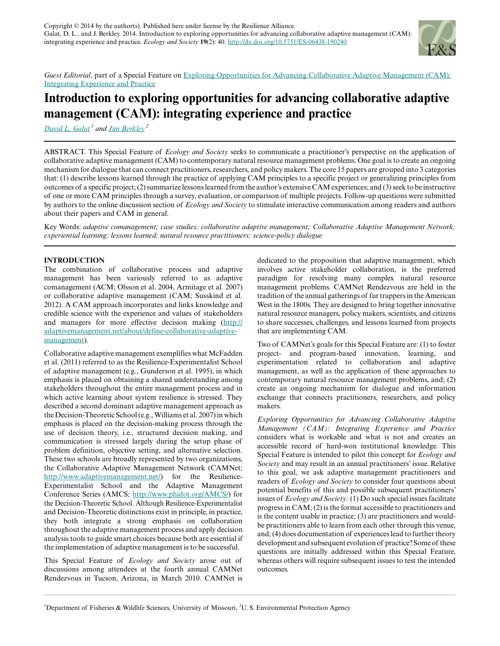

*Guest Editorial*, part of a Special Feature on [Exploring Opportunities for Advancing Collaborative Adaptive Management \(CAM\):](http://www.ecologyandsociety.org/viewissue.php?sf=77) [Integrating Experience and Practice](http://www.ecologyandsociety.org/viewissue.php?sf=77)

# **Introduction to exploring opportunities for advancing collaborative adaptive management (CAM): integrating experience and practice**

*[David L. Galat](mailto:GalatD@missouri.edu)<sup>1</sup> and [Jim Berkley](mailto:berkley.jim@epa.gov)<sup>2</sup>*

ABSTRACT. This Special Feature of *Ecology and Society* seeks to communicate a practitioner's perspective on the application of collaborative adaptive management (CAM) to contemporary natural resource management problems. One goal is to create an ongoing mechanism for dialogue that can connect practitioners, researchers, and policy makers. The core 15 papers are grouped into 3 categories that: (1) describe lessons learned through the practice of applying CAM principles to a specific project or generalizing principles from outcomes of a specific project; (2) summarize lessons learned from the author's extensive CAM experiences; and (3) seek to be instructive of one or more CAM principles through a survey, evaluation, or comparison of multiple projects. Follow-up questions were submitted by authors to the online discussion section of *Ecology and Society* to stimulate interactive communication among readers and authors about their papers and CAM in general.

Key Words: *adaptive comanagement; case studies; collaborative adaptive management; Collaborative Adaptive Management Network; experiential learning; lessons learned; natural resource practitioners; science-policy dialogue*

## **INTRODUCTION**

The combination of collaborative process and adaptive management has been variously referred to as adaptive comanagement (ACM; Olsson et al. 2004, Armitage et al. 2007) or collaborative adaptive management (CAM; Susskind et al. 2012). A CAM approach incorporates and links knowledge and credible science with the experience and values of stakeholders and managers for more effective decision making ([http://](http://adaptivemanagement.net/about/define-collaborative-adaptive-management) [adaptivemanagement.net/about/define-collaborative-adaptive](http://adaptivemanagement.net/about/define-collaborative-adaptive-management)[management\)](http://adaptivemanagement.net/about/define-collaborative-adaptive-management).

Collaborative adaptive management exemplifies what McFadden et al. (2011) referred to as the Resilience-Experimentalist School of adaptive management (e.g., Gunderson et al. 1995), in which emphasis is placed on obtaining a shared understanding among stakeholders throughout the entire management process and in which active learning about system resilience is stressed. They described a second dominant adaptive management approach as the Decision-Theoretic School (e.g., Williams et al. 2007) in which emphasis is placed on the decision-making process through the use of decision theory, i.e., structured decision making, and communication is stressed largely during the setup phase of problem definition, objective setting, and alternative selection. These two schools are broadly represented by two organizations, the Collaborative Adaptive Management Network (CAMNet; [http://www.adaptivemanagement.net/\)](http://www.adaptivemanagement.net/) for the Resilience-Experimentalist School and the Adaptive Management Conference Series (AMCS; [http://www.phidot.org/AMCS/\)](http://www.phidot.org/AMCS/) for the Decision-Theoretic School. Although Resilience-Experimentalist and Decision-Theoretic distinctions exist in principle, in practice, they both integrate a strong emphasis on collaboration throughout the adaptive management process and apply decision analysis tools to guide smart choices because both are essential if the implementation of adaptive management is to be successful.

This Special Feature of *Ecology and Society* arose out of discussions among attendees at the fourth annual CAMNet Rendezvous in Tucson, Arizona, in March 2010. CAMNet is

dedicated to the proposition that adaptive management, which involves active stakeholder collaboration, is the preferred paradigm for resolving many complex natural resource management problems. CAMNet Rendezvous are held in the tradition of the annual gatherings of fur trappers in the American West in the 1800s. They are designed to bring together innovative natural resource managers, policy makers, scientists, and citizens to share successes, challenges, and lessons learned from projects that are implementing CAM.

Two of CAMNet's goals for this Special Feature are: (1) to foster project- and program-based innovation, learning, and experimentation related to collaboration and adaptive management, as well as the application of these approaches to contemporary natural resource management problems, and; (2) create an ongoing mechanism for dialogue and information exchange that connects practitioners, researchers, and policy makers.

*Exploring Opportunities for Advancing Collaborative Adaptive Management (CAM): Integrating Experience and Practice* considers what is workable and what is not and creates an accessible record of hard-won institutional knowledge. This Special Feature is intended to pilot this concept for *Ecology and Society* and may result in an annual practitioners' issue. Relative to this goal, we ask adaptive management practitioners and readers of *Ecology and Society* to consider four questions about potential benefits of this and possible subsequent practitioners' issues of *Ecology and Society:* (1) Do such special issues facilitate progress in CAM; (2) is the format accessible to practitioners and is the content usable in practice; (3) are practitioners and wouldbe practitioners able to learn from each other through this venue, and; (4) does documentation of experiences lead to further theory development and subsequent evolution of practice? Some of these questions are initially addressed within this Special Feature, whereas others will require subsequent issues to test the intended outcomes.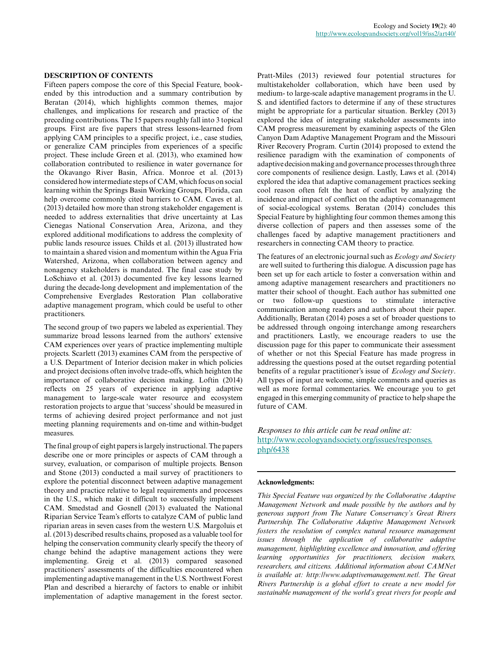#### **DESCRIPTION OF CONTENTS**

Fifteen papers compose the core of this Special Feature, bookended by this introduction and a summary contribution by Beratan (2014), which highlights common themes, major challenges, and implications for research and practice of the preceding contributions. The 15 papers roughly fall into 3 topical groups. First are five papers that stress lessons-learned from applying CAM principles to a specific project, i.e., case studies, or generalize CAM principles from experiences of a specific project. These include Green et al. (2013), who examined how collaboration contributed to resilience in water governance for the Okavango River Basin, Africa. Monroe et al. (2013) considered how intermediate steps of CAM, which focus on social learning within the Springs Basin Working Groups, Florida, can help overcome commonly cited barriers to CAM. Caves et al. (2013) detailed how more than strong stakeholder engagement is needed to address externalities that drive uncertainty at Las Cienegas National Conservation Area, Arizona, and they explored additional modifications to address the complexity of public lands resource issues. Childs et al. (2013) illustrated how to maintain a shared vision and momentum within the Agua Fria Watershed, Arizona, when collaboration between agency and nonagency stakeholders is mandated. The final case study by LoSchiavo et al. (2013) documented five key lessons learned during the decade-long development and implementation of the Comprehensive Everglades Restoration Plan collaborative adaptive management program, which could be useful to other practitioners.

The second group of two papers we labeled as experiential. They summarize broad lessons learned from the authors' extensive CAM experiences over years of practice implementing multiple projects. Scarlett (2013) examines CAM from the perspective of a U.S. Department of Interior decision maker in which policies and project decisions often involve trade-offs, which heighten the importance of collaborative decision making. Loftin (2014) reflects on 25 years of experience in applying adaptive management to large-scale water resource and ecosystem restoration projects to argue that 'success' should be measured in terms of achieving desired project performance and not just meeting planning requirements and on-time and within-budget measures.

The final group of eight papers is largely instructional. The papers describe one or more principles or aspects of CAM through a survey, evaluation, or comparison of multiple projects. Benson and Stone (2013) conducted a mail survey of practitioners to explore the potential disconnect between adaptive management theory and practice relative to legal requirements and processes in the U.S., which make it difficult to successfully implement CAM. Smedstad and Gosnell (2013) evaluated the National Riparian Service Team's efforts to catalyze CAM of public land riparian areas in seven cases from the western U.S. Margoluis et al. (2013) described results chains, proposed as a valuable tool for helping the conservation community clearly specify the theory of change behind the adaptive management actions they were implementing. Greig et al. (2013) compared seasoned practitioners' assessments of the difficulties encountered when implementing adaptive management in the U.S. Northwest Forest Plan and described a hierarchy of factors to enable or inhibit implementation of adaptive management in the forest sector.

Pratt-Miles (2013) reviewed four potential structures for multistakeholder collaboration, which have been used by medium- to large-scale adaptive management programs in the U. S. and identified factors to determine if any of these structures might be appropriate for a particular situation. Berkley (2013) explored the idea of integrating stakeholder assessments into CAM progress measurement by examining aspects of the Glen Canyon Dam Adaptive Management Program and the Missouri River Recovery Program. Curtin (2014) proposed to extend the resilience paradigm with the examination of components of adaptive decision making and governance processes through three core components of resilience design. Lastly, Laws et al. (2014) explored the idea that adaptive comanagement practices seeking cool reason often felt the heat of conflict by analyzing the incidence and impact of conflict on the adaptive comanagement of social-ecological systems. Beratan (2014) concludes this Special Feature by highlighting four common themes among this diverse collection of papers and then assesses some of the challenges faced by adaptive management practitioners and researchers in connecting CAM theory to practice.

The features of an electronic journal such as *Ecology and Society* are well suited to furthering this dialogue. A discussion page has been set up for each article to foster a conversation within and among adaptive management researchers and practitioners no matter their school of thought. Each author has submitted one or two follow-up questions to stimulate interactive communication among readers and authors about their paper. Additionally, Beratan (2014) poses a set of broader questions to be addressed through ongoing interchange among researchers and practitioners. Lastly, we encourage readers to use the discussion page for this paper to communicate their assessment of whether or not this Special Feature has made progress in addressing the questions posed at the outset regarding potential benefits of a regular practitioner's issue of *Ecology and Society*. All types of input are welcome, simple comments and queries as well as more formal commentaries. We encourage you to get engaged in this emerging community of practice to help shape the future of CAM.

*Responses to this article can be read online at:* [http://www.ecologyandsociety.org/issues/responses.](http://www.ecologyandsociety.org/issues/responses.php/6438) [php/6438](http://www.ecologyandsociety.org/issues/responses.php/6438)

### **Acknowledgments:**

*This Special Feature was organized by the Collaborative Adaptive Management Network and made possible by the authors and by generous support from The Nature Conservancy's Great Rivers Partnership. The Collaborative Adaptive Management Network fosters the resolution of complex natural resource management issues through the application of collaborative adaptive management, highlighting excellence and innovation, and offering learning opportunities for practitioners, decision makers, researchers, and citizens. Additional information about CAMNet is available at: http://www.adaptivemanagement.net/. The Great Rivers Partnership is a global effort to create a new model for sustainable management of the world's great rivers for people and*